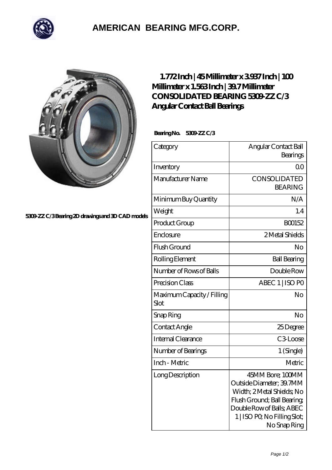

## **[AMERICAN BEARING MFG.CORP.](https://m.geragogik.net)**



**[5309-ZZ C/3 Bearing 2D drawings and 3D CAD models](https://m.geragogik.net/pic-181438.html)**

## **[1.772 Inch | 45 Millimeter x 3.937 Inch | 100](https://m.geragogik.net/aI-181438-consolidated-bearing-5309-zz-c-3-angular-contact-ball-bearings.html) [Millimeter x 1.563 Inch | 39.7 Millimeter](https://m.geragogik.net/aI-181438-consolidated-bearing-5309-zz-c-3-angular-contact-ball-bearings.html) [CONSOLIDATED BEARING 5309-ZZ C/3](https://m.geragogik.net/aI-181438-consolidated-bearing-5309-zz-c-3-angular-contact-ball-bearings.html) [Angular Contact Ball Bearings](https://m.geragogik.net/aI-181438-consolidated-bearing-5309-zz-c-3-angular-contact-ball-bearings.html)**

 **Bearing No. 5309-ZZ C/3**

| Category                           | Angular Contact Ball<br>Bearings                                                                                                                                                      |
|------------------------------------|---------------------------------------------------------------------------------------------------------------------------------------------------------------------------------------|
| Inventory                          | 0 <sub>0</sub>                                                                                                                                                                        |
| Manufacturer Name                  | CONSOLIDATED<br><b>BEARING</b>                                                                                                                                                        |
| Minimum Buy Quantity               | N/A                                                                                                                                                                                   |
| Weight                             | 1.4                                                                                                                                                                                   |
| Product Group                      | BO0152                                                                                                                                                                                |
| Enclosure                          | 2 Metal Shields                                                                                                                                                                       |
| Flush Ground                       | N <sub>o</sub>                                                                                                                                                                        |
| Rolling Element                    | <b>Ball Bearing</b>                                                                                                                                                                   |
| Number of Rows of Balls            | Double Row                                                                                                                                                                            |
| Precision Class                    | ABEC 1   ISO PO                                                                                                                                                                       |
| Maximum Capacity / Filling<br>Slot | No                                                                                                                                                                                    |
| Snap Ring                          | No                                                                                                                                                                                    |
| Contact Angle                      | 25Degree                                                                                                                                                                              |
| Internal Clearance                 | C <sub>3</sub> Loose                                                                                                                                                                  |
| Number of Bearings                 | 1 (Single)                                                                                                                                                                            |
| Inch - Metric                      | Metric                                                                                                                                                                                |
| Long Description                   | 45MM Bore; 100MM<br>Outside Diameter; 39.7MM<br>Width; 2Metal Shields; No<br>Flush Ground; Ball Bearing;<br>Double Row of Balls, ABEC<br>1   ISO PO, No Filling Slot;<br>No Snap Ring |